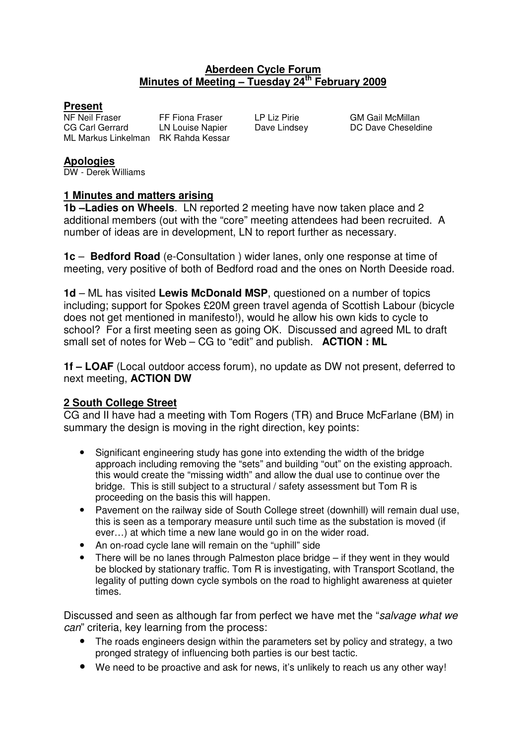## **Aberdeen Cycle Forum Minutes of Meeting – Tuesday 24th February 2009**

**Present**<br>NF Neil Fraser CG Carl Gerrard LN Louise Napier Dave Lindsey DC Dave Cheseldine ML Markus Linkelman RK Rahda Kessar

FF Fiona Fraser LP Liz Pirie GM Gail McMillan

#### **Apologies**

DW - Derek Williams

## **1 Minutes and matters arising**

**1b –Ladies on Wheels**. LN reported 2 meeting have now taken place and 2 additional members (out with the "core" meeting attendees had been recruited. A number of ideas are in development, LN to report further as necessary.

**1c** – **Bedford Road** (e-Consultation ) wider lanes, only one response at time of meeting, very positive of both of Bedford road and the ones on North Deeside road.

**1d** – ML has visited **Lewis McDonald MSP**, questioned on a number of topics including; support for Spokes £20M green travel agenda of Scottish Labour (bicycle does not get mentioned in manifesto!), would he allow his own kids to cycle to school? For a first meeting seen as going OK. Discussed and agreed ML to draft small set of notes for Web – CG to "edit" and publish. **ACTION : ML** 

**1f – LOAF** (Local outdoor access forum), no update as DW not present, deferred to next meeting, **ACTION DW**

## **2 South College Street**

CG and II have had a meeting with Tom Rogers (TR) and Bruce McFarlane (BM) in summary the design is moving in the right direction, key points:

- Significant engineering study has gone into extending the width of the bridge approach including removing the "sets" and building "out" on the existing approach. this would create the "missing width" and allow the dual use to continue over the bridge. This is still subject to a structural / safety assessment but Tom R is proceeding on the basis this will happen.
- Pavement on the railway side of South College street (downhill) will remain dual use, this is seen as a temporary measure until such time as the substation is moved (if ever…) at which time a new lane would go in on the wider road.
- An on-road cycle lane will remain on the "uphill" side
- There will be no lanes through Palmeston place bridge if they went in they would be blocked by stationary traffic. Tom R is investigating, with Transport Scotland, the legality of putting down cycle symbols on the road to highlight awareness at quieter times.

Discussed and seen as although far from perfect we have met the "salvage what we can" criteria, key learning from the process:

- The roads engineers design within the parameters set by policy and strategy, a two pronged strategy of influencing both parties is our best tactic.
- We need to be proactive and ask for news, it's unlikely to reach us any other way!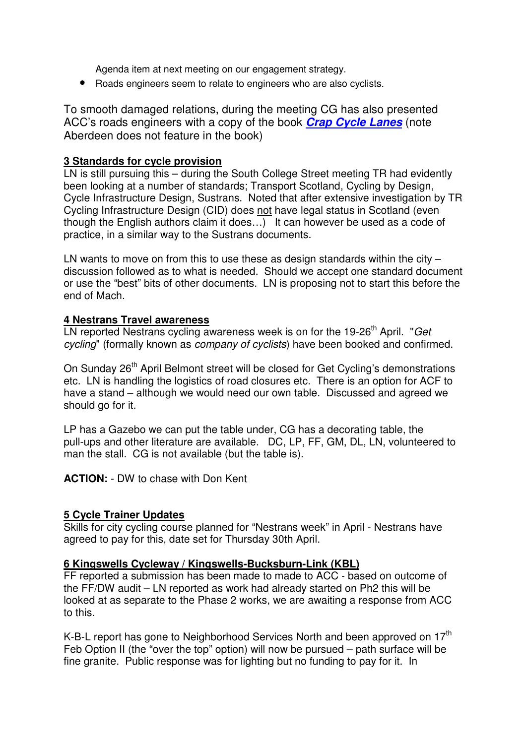Agenda item at next meeting on our engagement strategy.

• Roads engineers seem to relate to engineers who are also cyclists.

To smooth damaged relations, during the meeting CG has also presented ACC's roads engineers with a copy of the book **Crap Cycle Lanes** (note Aberdeen does not feature in the book)

## **3 Standards for cycle provision**

LN is still pursuing this – during the South College Street meeting TR had evidently been looking at a number of standards; Transport Scotland, Cycling by Design, Cycle Infrastructure Design, Sustrans. Noted that after extensive investigation by TR Cycling Infrastructure Design (CID) does not have legal status in Scotland (even though the English authors claim it does…) It can however be used as a code of practice, in a similar way to the Sustrans documents.

LN wants to move on from this to use these as design standards within the city – discussion followed as to what is needed. Should we accept one standard document or use the "best" bits of other documents. LN is proposing not to start this before the end of Mach.

## **4 Nestrans Travel awareness**

LN reported Nestrans cycling awareness week is on for the 19-26<sup>th</sup> April. "Get cycling" (formally known as *company of cyclists*) have been booked and confirmed.

On Sunday 26<sup>th</sup> April Belmont street will be closed for Get Cycling's demonstrations etc. LN is handling the logistics of road closures etc. There is an option for ACF to have a stand – although we would need our own table. Discussed and agreed we should go for it.

LP has a Gazebo we can put the table under, CG has a decorating table, the pull-ups and other literature are available. DC, LP, FF, GM, DL, LN, volunteered to man the stall. CG is not available (but the table is).

**ACTION:** - DW to chase with Don Kent

## **5 Cycle Trainer Updates**

Skills for city cycling course planned for "Nestrans week" in April - Nestrans have agreed to pay for this, date set for Thursday 30th April.

## **6 Kingswells Cycleway / Kingswells-Bucksburn-Link (KBL)**

FF reported a submission has been made to made to ACC - based on outcome of the FF/DW audit – LN reported as work had already started on Ph2 this will be looked at as separate to the Phase 2 works, we are awaiting a response from ACC to this.

K-B-L report has gone to Neighborhood Services North and been approved on 17<sup>th</sup> Feb Option II (the "over the top" option) will now be pursued – path surface will be fine granite. Public response was for lighting but no funding to pay for it. In